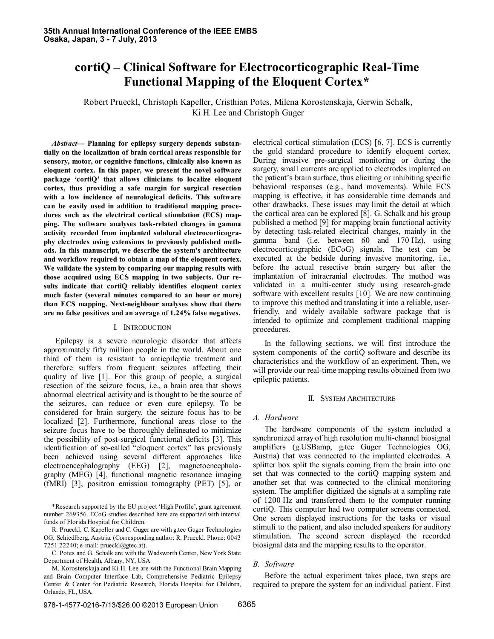# **cortiQ – Clinical Software for Electrocorticographic Real-Time Functional Mapping of the Eloquent Cortex\***

Robert Prueckl, Christoph Kapeller, Cristhian Potes, Milena Korostenskaja, Gerwin Schalk, Ki H. Lee and Christoph Guger

*Abstract***— Planning for epilepsy surgery depends substantially on the localization of brain cortical areas responsible for sensory, motor, or cognitive functions, clinically also known as eloquent cortex. In this paper, we present the novel software package 'cortiQ' that allows clinicians to localize eloquent cortex, thus providing a safe margin for surgical resection with a low incidence of neurological deficits. This software can be easily used in addition to traditional mapping procedures such as the electrical cortical stimulation (ECS) mapping. The software analyses task-related changes in gamma activity recorded from implanted subdural electrocorticography electrodes using extensions to previously published methods. In this manuscript, we describe the system's architecture and workflow required to obtain a map of the eloquent cortex. We validate the system by comparing our mapping results with those acquired using ECS mapping in two subjects. Our results indicate that cortiQ reliably identifies eloquent cortex much faster (several minutes compared to an hour or more) than ECS mapping. Next-neighbour analyses show that there are no false positives and an average of 1.24% false negatives.**

## I. INTRODUCTION

Epilepsy is a severe neurologic disorder that affects approximately fifty million people in the world. About one third of them is resistant to antiepileptic treatment and therefore suffers from frequent seizures affecting their quality of live [1]. For this group of people, a surgical resection of the seizure focus, i.e., a brain area that shows abnormal electrical activity and is thought to be the source of the seizures, can reduce or even cure epilepsy. To be considered for brain surgery, the seizure focus has to be localized [2]. Furthermore, functional areas close to the seizure focus have to be thoroughly delineated to minimize the possibility of post-surgical functional deficits [3]. This identification of so-called "eloquent cortex" has previously been achieved using several different approaches like electroencephalography (EEG) [2], magnetoencephalography (MEG) [4], functional magnetic resonance imaging (fMRI) [3], positron emission tomography (PET) [5], or

\*Research supported by the EU project "High Profile", grant agreement number 269356. ECoG studies described here are supported with internal funds of Florida Hospital for Children.

R. Prueckl, C. Kapeller and C. Guger are with g.tec Guger Technologies OG, Schiedlberg, Austria. (Corresponding author: R. Prueckl. Phone: 0043 7251 22240; e-mail: prueckl@gtec.at).

C. Potes and G. Schalk are with the Wadsworth Center, New York State Department of Health, Albany, NY, USA

M. Korostenskaja and Ki H. Lee are with the Functional Brain Mapping and Brain Computer Interface Lab, Comprehensive Pediatric Epilepsy Center & Center for Pediatric Research, Florida Hospital for Children, Orlando, FL, USA.

the gold standard procedure to identify eloquent cortex. During invasive pre-surgical monitoring or during the surgery, small currents are applied to electrodes implanted on the patient"s brain surface, thus eliciting or inhibiting specific behavioral responses (e.g., hand movements). While ECS mapping is effective, it has considerable time demands and other drawbacks. These issues may limit the detail at which the cortical area can be explored [8]. G. Schalk and his group published a method [9] for mapping brain functional activity by detecting task-related electrical changes, mainly in the gamma band (i.e. between 60 and 170 Hz), using electrocorticographic (ECoG) signals. The test can be executed at the bedside during invasive monitoring, i.e., before the actual resective brain surgery but after the implantation of intracranial electrodes. The method was validated in a multi-center study using research-grade software with excellent results [10]. We are now continuing to improve this method and translating it into a reliable, userfriendly, and widely available software package that is intended to optimize and complement traditional mapping procedures.

electrical cortical stimulation (ECS) [6, 7]. ECS is currently

In the following sections, we will first introduce the system components of the cortiQ software and describe its characteristics and the workflow of an experiment. Then, we will provide our real-time mapping results obtained from two epileptic patients.

#### II. SYSTEM ARCHITECTURE

## *A. Hardware*

The hardware components of the system included a synchronized array of high resolution multi-channel biosignal amplifiers (g.USBamp, g.tec Guger Technologies OG, Austria) that was connected to the implanted electrodes. A splitter box split the signals coming from the brain into one set that was connected to the cortiQ mapping system and another set that was connected to the clinical monitoring system. The amplifier digitized the signals at a sampling rate of 1200 Hz and transferred them to the computer running cortiQ. This computer had two computer screens connected. One screen displayed instructions for the tasks or visual stimuli to the patient, and also included speakers for auditory stimulation. The second screen displayed the recorded biosignal data and the mapping results to the operator.

## *B. Software*

Before the actual experiment takes place, two steps are required to prepare the system for an individual patient. First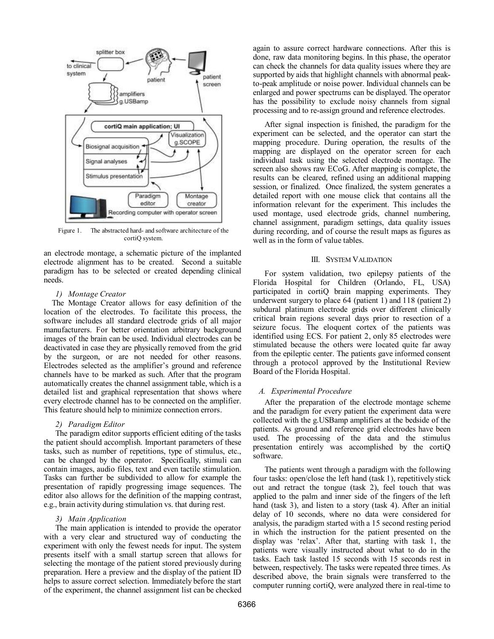

Figure 1. The abstracted hard- and software architecture of the cortiQ system.

an electrode montage, a schematic picture of the implanted electrode alignment has to be created. Second a suitable paradigm has to be selected or created depending clinical needs.

## *1) Montage Creator*

The Montage Creator allows for easy definition of the location of the electrodes. To facilitate this process, the software includes all standard electrode grids of all major manufacturers. For better orientation arbitrary background images of the brain can be used. Individual electrodes can be deactivated in case they are physically removed from the grid by the surgeon, or are not needed for other reasons. Electrodes selected as the amplifier's ground and reference channels have to be marked as such. After that the program automatically creates the channel assignment table, which is a detailed list and graphical representation that shows where every electrode channel has to be connected on the amplifier. This feature should help to minimize connection errors.

## *2) Paradigm Editor*

The paradigm editor supports efficient editing of the tasks the patient should accomplish. Important parameters of these tasks, such as number of repetitions, type of stimulus, etc., can be changed by the operator. Specifically, stimuli can contain images, audio files, text and even tactile stimulation. Tasks can further be subdivided to allow for example the presentation of rapidly progressing image sequences. The editor also allows for the definition of the mapping contrast, e.g., brain activity during stimulation vs. that during rest.

## *3) Main Application*

The main application is intended to provide the operator with a very clear and structured way of conducting the experiment with only the fewest needs for input. The system presents itself with a small startup screen that allows for selecting the montage of the patient stored previously during preparation. Here a preview and the display of the patient ID helps to assure correct selection. Immediately before the start of the experiment, the channel assignment list can be checked again to assure correct hardware connections. After this is done, raw data monitoring begins. In this phase, the operator can check the channels for data quality issues where they are supported by aids that highlight channels with abnormal peakto-peak amplitude or noise power. Individual channels can be enlarged and power spectrums can be displayed. The operator has the possibility to exclude noisy channels from signal processing and to re-assign ground and reference electrodes.

After signal inspection is finished, the paradigm for the experiment can be selected, and the operator can start the mapping procedure. During operation, the results of the mapping are displayed on the operator screen for each individual task using the selected electrode montage. The screen also shows raw ECoG. After mapping is complete, the results can be cleared, refined using an additional mapping session, or finalized. Once finalized, the system generates a detailed report with one mouse click that contains all the information relevant for the experiment. This includes the used montage, used electrode grids, channel numbering, channel assignment, paradigm settings, data quality issues during recording, and of course the result maps as figures as well as in the form of value tables.

## III. SYSTEM VALIDATION

For system validation, two epilepsy patients of the Florida Hospital for Children (Orlando, FL, USA) participated in cortiQ brain mapping experiments. They underwent surgery to place 64 (patient 1) and 118 (patient 2) subdural platinum electrode grids over different clinically critical brain regions several days prior to resection of a seizure focus. The eloquent cortex of the patients was identified using ECS. For patient 2, only 85 electrodes were stimulated because the others were located quite far away from the epileptic center. The patients gave informed consent through a protocol approved by the Institutional Review Board of the Florida Hospital.

## *A. Experimental Procedure*

After the preparation of the electrode montage scheme and the paradigm for every patient the experiment data were collected with the g.USBamp amplifiers at the bedside of the patients. As ground and reference grid electrodes have been used. The processing of the data and the stimulus presentation entirely was accomplished by the cortiQ software.

The patients went through a paradigm with the following four tasks: open/close the left hand (task 1), repetitively stick out and retract the tongue (task 2), feel touch that was applied to the palm and inner side of the fingers of the left hand (task 3), and listen to a story (task 4). After an initial delay of 10 seconds, where no data were considered for analysis, the paradigm started with a 15 second resting period in which the instruction for the patient presented on the display was "relax". After that, starting with task 1, the patients were visually instructed about what to do in the tasks. Each task lasted 15 seconds with 15 seconds rest in between, respectively. The tasks were repeated three times. As described above, the brain signals were transferred to the computer running cortiQ, were analyzed there in real-time to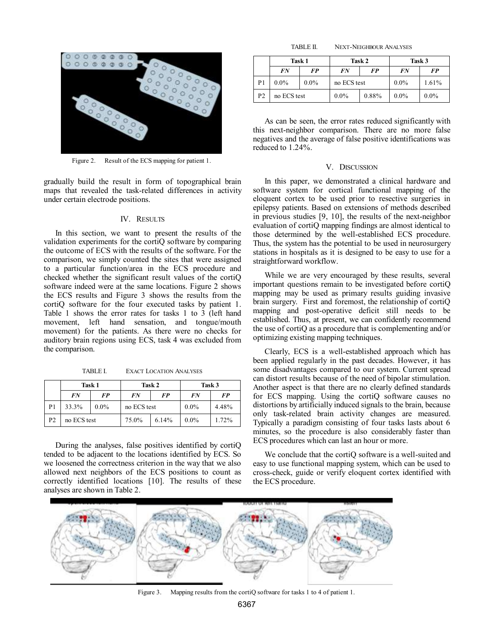

Figure 2. Result of the ECS mapping for patient 1.

gradually build the result in form of topographical brain maps that revealed the task-related differences in activity under certain electrode positions.

#### IV. RESULTS

In this section, we want to present the results of the validation experiments for the cortiQ software by comparing the outcome of ECS with the results of the software. For the comparison, we simply counted the sites that were assigned to a particular function/area in the ECS procedure and checked whether the significant result values of the cortiQ software indeed were at the same locations. Figure 2 shows the ECS results and Figure 3 shows the results from the cortiQ software for the four executed tasks by patient 1. Table 1 shows the error rates for tasks 1 to 3 (left hand movement, left hand sensation, and tongue/mouth movement) for the patients. As there were no checks for auditory brain regions using ECS, task 4 was excluded from the comparison.

TABLE I. EXACT LOCATION ANALYSES

|                | Task 1      |         | Task 2      |       | Task 3  |       |
|----------------|-------------|---------|-------------|-------|---------|-------|
|                | FN          | FP      | FN          | FP    | FN      | FP    |
|                | 33.3%       | $0.0\%$ | no ECS test |       | $0.0\%$ | 4.48% |
| P <sub>2</sub> | no ECS test |         | 75.0%       | 6.14% | $0.0\%$ | 1.72% |

During the analyses, false positives identified by cortiQ tended to be adjacent to the locations identified by ECS. So we loosened the correctness criterion in the way that we also allowed next neighbors of the ECS positions to count as correctly identified locations [10]. The results of these analyses are shown in Table 2.

TABLE II. NEXT-NEIGHBOUR ANALYSES

|                | Task 1      |         | Task 2      |           | Task 3  |         |
|----------------|-------------|---------|-------------|-----------|---------|---------|
|                | FN          | FP      | FN          | <b>FP</b> | FN      | FP      |
| P1             | $0.0\%$     | $0.0\%$ | no ECS test |           | $0.0\%$ | 1.61%   |
| P <sub>2</sub> | no ECS test |         | $0.0\%$     | 0.88%     | $0.0\%$ | $0.0\%$ |

As can be seen, the error rates reduced significantly with this next-neighbor comparison. There are no more false negatives and the average of false positive identifications was reduced to 1.24%.

#### V. DISCUSSION

In this paper, we demonstrated a clinical hardware and software system for cortical functional mapping of the eloquent cortex to be used prior to resective surgeries in epilepsy patients. Based on extensions of methods described in previous studies [9, 10], the results of the next-neighbor evaluation of cortiQ mapping findings are almost identical to those determined by the well-established ECS procedure. Thus, the system has the potential to be used in neurosurgery stations in hospitals as it is designed to be easy to use for a straightforward workflow.

While we are very encouraged by these results, several important questions remain to be investigated before cortiQ mapping may be used as primary results guiding invasive brain surgery. First and foremost, the relationship of cortiQ mapping and post-operative deficit still needs to be established. Thus, at present, we can confidently recommend the use of cortiQ as a procedure that is complementing and/or optimizing existing mapping techniques.

Clearly, ECS is a well-established approach which has been applied regularly in the past decades. However, it has some disadvantages compared to our system. Current spread can distort results because of the need of bipolar stimulation. Another aspect is that there are no clearly defined standards for ECS mapping. Using the cortiQ software causes no distortions by artificially induced signals to the brain, because only task-related brain activity changes are measured. Typically a paradigm consisting of four tasks lasts about 6 minutes, so the procedure is also considerably faster than ECS procedures which can last an hour or more.

We conclude that the cortiQ software is a well-suited and easy to use functional mapping system, which can be used to cross-check, guide or verify eloquent cortex identified with the ECS procedure.



Figure 3. Mapping results from the cortion software for tasks 1 to 4 of patient 1.